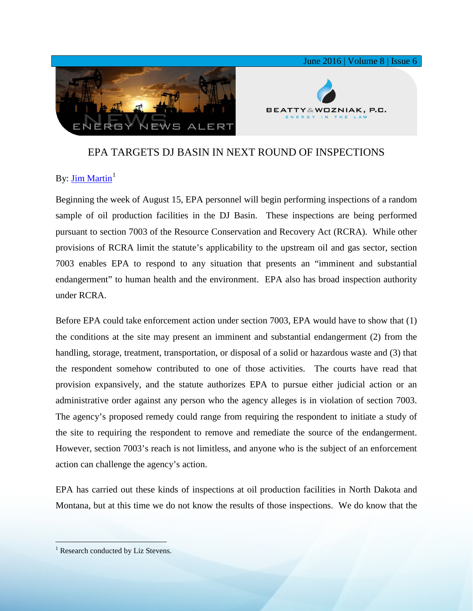

## EPA TARGETS DJ BASIN IN NEXT ROUND OF INSPECTIONS

## By: [Jim Martin](http://www.bwenergylaw.com/#!jim-martin/cqkh)<sup>[1](#page-0-0)</sup>

Beginning the week of August 15, EPA personnel will begin performing inspections of a random sample of oil production facilities in the DJ Basin. These inspections are being performed pursuant to section 7003 of the Resource Conservation and Recovery Act (RCRA). While other provisions of RCRA limit the statute's applicability to the upstream oil and gas sector, section 7003 enables EPA to respond to any situation that presents an "imminent and substantial endangerment" to human health and the environment. EPA also has broad inspection authority under RCRA.

Before EPA could take enforcement action under section 7003, EPA would have to show that (1) the conditions at the site may present an imminent and substantial endangerment (2) from the handling, storage, treatment, transportation, or disposal of a solid or hazardous waste and (3) that the respondent somehow contributed to one of those activities. The courts have read that provision expansively, and the statute authorizes EPA to pursue either judicial action or an administrative order against any person who the agency alleges is in violation of section 7003. The agency's proposed remedy could range from requiring the respondent to initiate a study of the site to requiring the respondent to remove and remediate the source of the endangerment. However, section 7003's reach is not limitless, and anyone who is the subject of an enforcement action can challenge the agency's action.

EPA has carried out these kinds of inspections at oil production facilities in North Dakota and Montana, but at this time we do not know the results of those inspections. We do know that the

<span id="page-0-0"></span><sup>&</sup>lt;sup>1</sup> Research conducted by Liz Stevens.